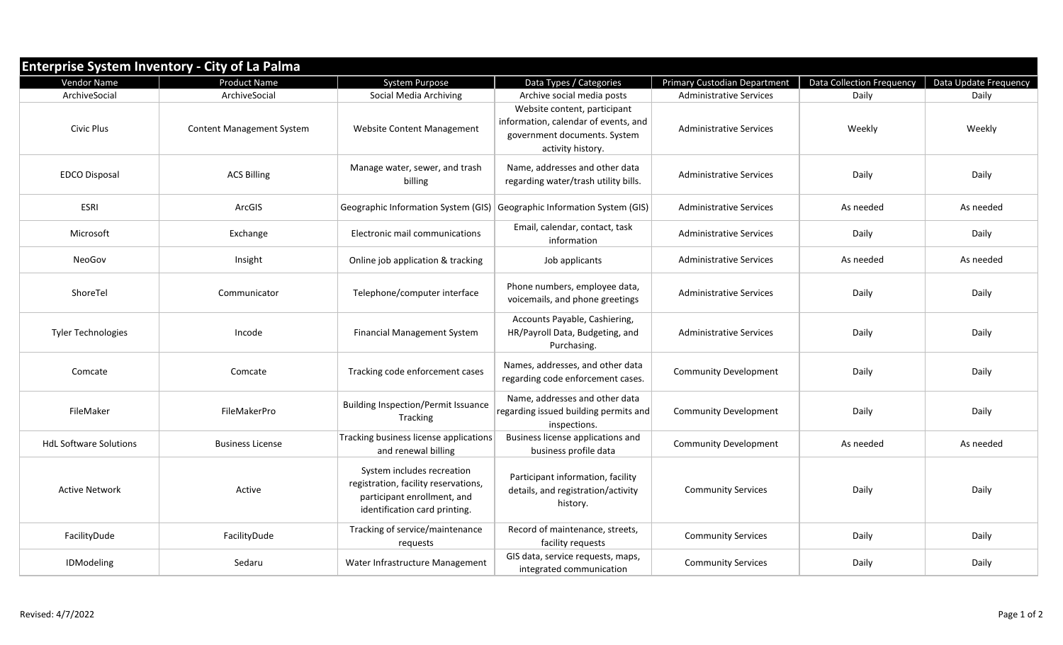| <b>Enterprise System Inventory - City of La Palma</b> |                                  |                                                                                                                                    |                                                                                                                           |                                     |                                  |                       |  |  |  |  |  |
|-------------------------------------------------------|----------------------------------|------------------------------------------------------------------------------------------------------------------------------------|---------------------------------------------------------------------------------------------------------------------------|-------------------------------------|----------------------------------|-----------------------|--|--|--|--|--|
| Vendor Name                                           | <b>Product Name</b>              | System Purpose                                                                                                                     | Data Types / Categories                                                                                                   | <b>Primary Custodian Department</b> | <b>Data Collection Frequency</b> | Data Update Frequency |  |  |  |  |  |
| ArchiveSocial                                         | ArchiveSocial                    | Social Media Archiving                                                                                                             | Archive social media posts                                                                                                | <b>Administrative Services</b>      | Daily                            | Daily                 |  |  |  |  |  |
| <b>Civic Plus</b>                                     | <b>Content Management System</b> | Website Content Management                                                                                                         | Website content, participant<br>information, calendar of events, and<br>government documents. System<br>activity history. | <b>Administrative Services</b>      | Weekly                           | Weekly                |  |  |  |  |  |
| <b>EDCO Disposal</b>                                  | <b>ACS Billing</b>               | Manage water, sewer, and trash<br>billing                                                                                          | Name, addresses and other data<br>regarding water/trash utility bills.                                                    | <b>Administrative Services</b>      | Daily                            | Daily                 |  |  |  |  |  |
| <b>ESRI</b>                                           | ArcGIS                           | Geographic Information System (GIS)                                                                                                | Geographic Information System (GIS)                                                                                       | <b>Administrative Services</b>      | As needed                        | As needed             |  |  |  |  |  |
| Microsoft                                             | Exchange                         | Electronic mail communications                                                                                                     | Email, calendar, contact, task<br>information                                                                             | <b>Administrative Services</b>      | Daily                            | Daily                 |  |  |  |  |  |
| NeoGov                                                | Insight                          | Online job application & tracking                                                                                                  | Job applicants                                                                                                            | <b>Administrative Services</b>      | As needed                        | As needed             |  |  |  |  |  |
| ShoreTel                                              | Communicator                     | Telephone/computer interface                                                                                                       | Phone numbers, employee data,<br>voicemails, and phone greetings                                                          | <b>Administrative Services</b>      | Daily                            | Daily                 |  |  |  |  |  |
| <b>Tyler Technologies</b>                             | Incode                           | <b>Financial Management System</b>                                                                                                 | Accounts Payable, Cashiering,<br>HR/Payroll Data, Budgeting, and<br>Purchasing.                                           | <b>Administrative Services</b>      | Daily                            | Daily                 |  |  |  |  |  |
| Comcate                                               | Comcate                          | Tracking code enforcement cases                                                                                                    | Names, addresses, and other data<br>regarding code enforcement cases.                                                     | <b>Community Development</b>        | Daily                            | Daily                 |  |  |  |  |  |
| FileMaker                                             | FileMakerPro                     | <b>Building Inspection/Permit Issuance</b><br>Tracking                                                                             | Name, addresses and other data<br>regarding issued building permits and<br>inspections.                                   | <b>Community Development</b>        | Daily                            | Daily                 |  |  |  |  |  |
| <b>HdL Software Solutions</b>                         | <b>Business License</b>          | Tracking business license applications<br>and renewal billing                                                                      | Business license applications and<br>business profile data                                                                | <b>Community Development</b>        | As needed                        | As needed             |  |  |  |  |  |
| <b>Active Network</b>                                 | Active                           | System includes recreation<br>registration, facility reservations,<br>participant enrollment, and<br>identification card printing. | Participant information, facility<br>details, and registration/activity<br>history.                                       | <b>Community Services</b>           | Daily                            | Daily                 |  |  |  |  |  |
| FacilityDude                                          | FacilityDude                     | Tracking of service/maintenance<br>requests                                                                                        | Record of maintenance, streets,<br>facility requests                                                                      | <b>Community Services</b>           | Daily                            | Daily                 |  |  |  |  |  |
| IDModeling                                            | Sedaru                           | Water Infrastructure Management                                                                                                    | GIS data, service requests, maps,<br>integrated communication                                                             | <b>Community Services</b>           | Daily                            | Daily                 |  |  |  |  |  |